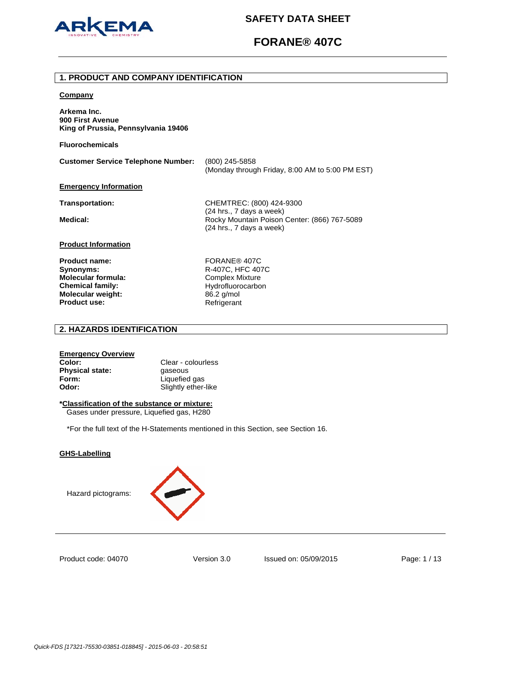

# **FORANE® 407C**

#### **1. PRODUCT AND COMPANY IDENTIFICATION**

#### **Company**

**Arkema Inc. 900 First Avenue King of Prussia, Pennsylvania 19406** 

**Fluorochemicals**

**Customer Service Telephone Number:** (800) 245-5858 (Monday through Friday, 8:00 AM to 5:00 PM EST) **Emergency Information**

**Transportation:** CHEMTREC: (800) 424-9300 (24 hrs., 7 days a week) Medical: **Medical: Rocky Mountain Poison Center: (866) 767-5089** (24 hrs., 7 days a week)

### **Product Information**

Product name: FORANE® 407C **Molecular formula:** Complex Mixture **Chemical family:** Hydrofluorocarbon **Molecular weight:** 86.2 g/mol<br>**Product use:** Refrigerant **Product use:** 

**Synonyms:** R-407C, HFC 407C

# **2. HAZARDS IDENTIFICATION**

#### **Emergency Overview**

**Color:** Clear - colourless **Physical state: gaseous Form:** Liquefied gas **Odor:** Slightly ether-like

# **\*Classification of the substance or mixture:**

Gases under pressure, Liquefied gas, H280

\*For the full text of the H-Statements mentioned in this Section, see Section 16.

### **GHS-Labelling**





Product code: 04070

Version 3.0 Issued on: 05/09/2015 Page: 1 / 13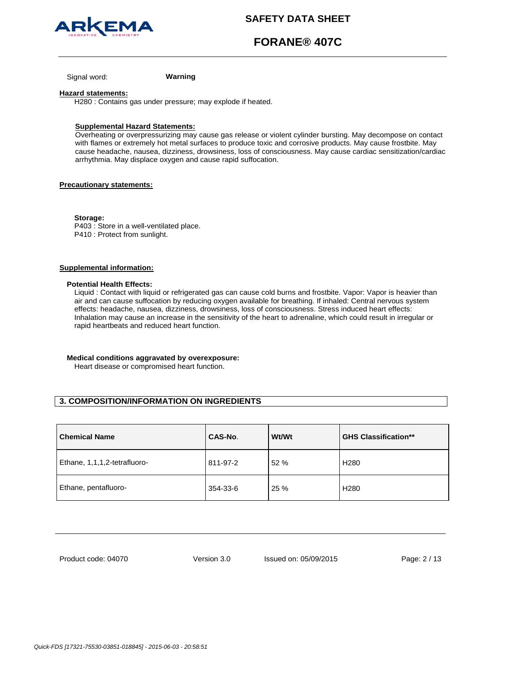

# **FORANE® 407C**

Signal word: **Warning**

#### **Hazard statements:**

H280 : Contains gas under pressure; may explode if heated.

### **Supplemental Hazard Statements:**

Overheating or overpressurizing may cause gas release or violent cylinder bursting. May decompose on contact with flames or extremely hot metal surfaces to produce toxic and corrosive products. May cause frostbite. May cause headache, nausea, dizziness, drowsiness, loss of consciousness. May cause cardiac sensitization/cardiac arrhythmia. May displace oxygen and cause rapid suffocation.

### **Precautionary statements:**

**Storage:**  P403 : Store in a well-ventilated place. P410 : Protect from sunlight.

### **Supplemental information:**

#### **Potential Health Effects:**

Liquid : Contact with liquid or refrigerated gas can cause cold burns and frostbite. Vapor: Vapor is heavier than air and can cause suffocation by reducing oxygen available for breathing. If inhaled: Central nervous system effects: headache, nausea, dizziness, drowsiness, loss of consciousness. Stress induced heart effects: Inhalation may cause an increase in the sensitivity of the heart to adrenaline, which could result in irregular or rapid heartbeats and reduced heart function.

#### **Medical conditions aggravated by overexposure:**

Heart disease or compromised heart function.

# **3. COMPOSITION/INFORMATION ON INGREDIENTS**

| <b>Chemical Name</b>         | CAS-No.  | Wt/Wt | <b>GHS Classification**</b> |
|------------------------------|----------|-------|-----------------------------|
| Ethane, 1,1,1,2-tetrafluoro- | 811-97-2 | 52 %  | H <sub>280</sub>            |
| Ethane, pentafluoro-         | 354-33-6 | 25 %  | H <sub>280</sub>            |

Product code: 04070

Version 3.0 Issued on: 05/09/2015 Page: 2 / 13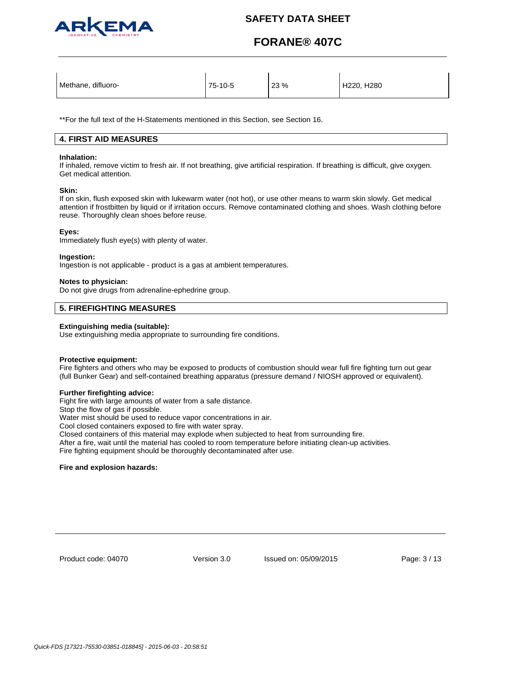

# **FORANE® 407C**

| Methane, difluoro- | 75-10-5 | 23 % | H <sub>220</sub> , H <sub>280</sub> |
|--------------------|---------|------|-------------------------------------|
|                    |         |      |                                     |

\*\*For the full text of the H-Statements mentioned in this Section, see Section 16.

# **4. FIRST AID MEASURES**

#### **Inhalation:**

If inhaled, remove victim to fresh air. If not breathing, give artificial respiration. If breathing is difficult, give oxygen. Get medical attention.

#### **Skin:**

If on skin, flush exposed skin with lukewarm water (not hot), or use other means to warm skin slowly. Get medical attention if frostbitten by liquid or if irritation occurs. Remove contaminated clothing and shoes. Wash clothing before reuse. Thoroughly clean shoes before reuse.

#### **Eyes:**

Immediately flush eye(s) with plenty of water.

#### **Ingestion:**

Ingestion is not applicable - product is a gas at ambient temperatures.

#### **Notes to physician:**

Do not give drugs from adrenaline-ephedrine group.

## **5. FIREFIGHTING MEASURES**

#### **Extinguishing media (suitable):**

Use extinguishing media appropriate to surrounding fire conditions.

### **Protective equipment:**

Fire fighters and others who may be exposed to products of combustion should wear full fire fighting turn out gear (full Bunker Gear) and self-contained breathing apparatus (pressure demand / NIOSH approved or equivalent).

## **Further firefighting advice:**

Fight fire with large amounts of water from a safe distance.

Stop the flow of gas if possible.

Water mist should be used to reduce vapor concentrations in air.

Cool closed containers exposed to fire with water spray.

Closed containers of this material may explode when subjected to heat from surrounding fire.

After a fire, wait until the material has cooled to room temperature before initiating clean-up activities.

Fire fighting equipment should be thoroughly decontaminated after use.

### **Fire and explosion hazards:**

Product code: 04070

Version 3.0 Issued on: 05/09/2015 Page: 3 / 13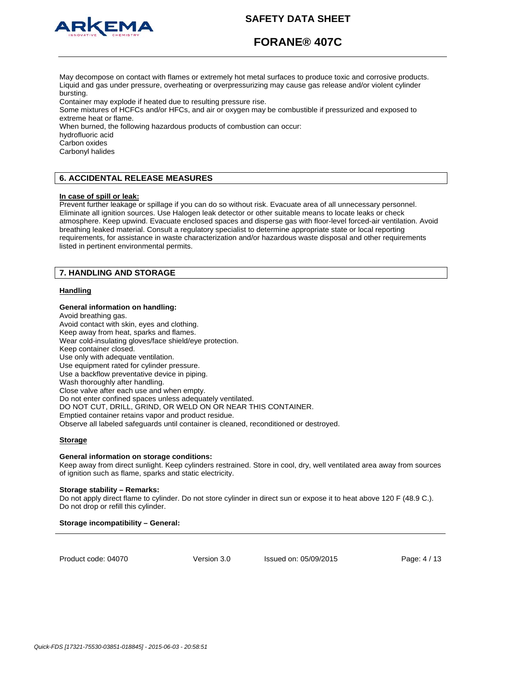

**FORANE® 407C**

May decompose on contact with flames or extremely hot metal surfaces to produce toxic and corrosive products. Liquid and gas under pressure, overheating or overpressurizing may cause gas release and/or violent cylinder bursting.

Container may explode if heated due to resulting pressure rise.

Some mixtures of HCFCs and/or HFCs, and air or oxygen may be combustible if pressurized and exposed to extreme heat or flame.

When burned, the following hazardous products of combustion can occur:

hydrofluoric acid

Carbon oxides

Carbonyl halides

# **6. ACCIDENTAL RELEASE MEASURES**

#### **In case of spill or leak:**

Prevent further leakage or spillage if you can do so without risk. Evacuate area of all unnecessary personnel. Eliminate all ignition sources. Use Halogen leak detector or other suitable means to locate leaks or check atmosphere. Keep upwind. Evacuate enclosed spaces and disperse gas with floor-level forced-air ventilation. Avoid breathing leaked material. Consult a regulatory specialist to determine appropriate state or local reporting requirements, for assistance in waste characterization and/or hazardous waste disposal and other requirements listed in pertinent environmental permits.

## **7. HANDLING AND STORAGE**

#### **Handling**

#### **General information on handling:**

Avoid breathing gas. Avoid contact with skin, eyes and clothing. Keep away from heat, sparks and flames. Wear cold-insulating gloves/face shield/eye protection. Keep container closed. Use only with adequate ventilation. Use equipment rated for cylinder pressure. Use a backflow preventative device in piping. Wash thoroughly after handling. Close valve after each use and when empty. Do not enter confined spaces unless adequately ventilated. DO NOT CUT, DRILL, GRIND, OR WELD ON OR NEAR THIS CONTAINER. Emptied container retains vapor and product residue. Observe all labeled safeguards until container is cleaned, reconditioned or destroyed.

#### **Storage**

# **General information on storage conditions:**

Keep away from direct sunlight. Keep cylinders restrained. Store in cool, dry, well ventilated area away from sources of ignition such as flame, sparks and static electricity.

#### **Storage stability – Remarks:**

Do not apply direct flame to cylinder. Do not store cylinder in direct sun or expose it to heat above 120 F (48.9 C.). Do not drop or refill this cylinder.

# **Storage incompatibility – General:**

Product code: 04070

Version 3.0 Issued on: 05/09/2015 Page: 4 / 13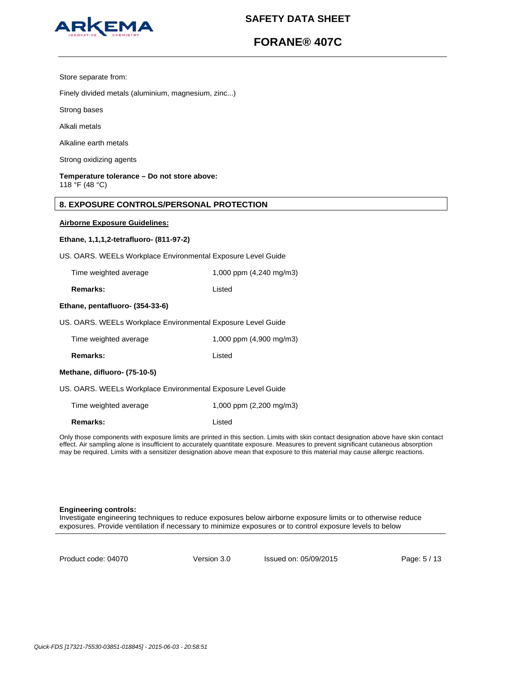

# **FORANE® 407C**

Store separate from:

Finely divided metals (aluminium, magnesium, zinc...)

Strong bases

Alkali metals

Alkaline earth metals

Strong oxidizing agents

**Temperature tolerance – Do not store above:** 118 °F (48 °C)

### **8. EXPOSURE CONTROLS/PERSONAL PROTECTION**

### **Airborne Exposure Guidelines:**

#### **Ethane, 1,1,1,2-tetrafluoro- (811-97-2)**

US. OARS. WEELs Workplace Environmental Exposure Level Guide

| Time weighted average | 1,000 ppm $(4,240 \text{ mg/m3})$ |
|-----------------------|-----------------------------------|
|                       |                                   |

**Remarks:** Listed

#### **Ethane, pentafluoro- (354-33-6)**

US. OARS. WEELs Workplace Environmental Exposure Level Guide

| Time weighted average | 1,000 ppm $(4,900 \text{ mg/m3})$ |
|-----------------------|-----------------------------------|
| Remarks:              | Listed                            |

# **Methane, difluoro- (75-10-5)**

US. OARS. WEELs Workplace Environmental Exposure Level Guide

Time weighted average 1,000 ppm (2,200 mg/m3) **Remarks:** Listed

Only those components with exposure limits are printed in this section. Limits with skin contact designation above have skin contact effect. Air sampling alone is insufficient to accurately quantitate exposure. Measures to prevent significant cutaneous absorption may be required. Limits with a sensitizer designation above mean that exposure to this material may cause allergic reactions.

#### **Engineering controls:**

Investigate engineering techniques to reduce exposures below airborne exposure limits or to otherwise reduce exposures. Provide ventilation if necessary to minimize exposures or to control exposure levels to below

Product code: 04070

Version 3.0 Issued on: 05/09/2015 Page: 5 / 13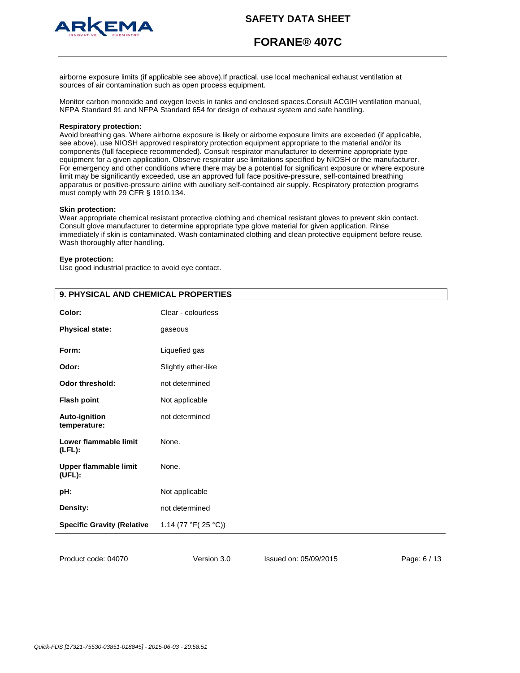



**FORANE® 407C**

airborne exposure limits (if applicable see above).If practical, use local mechanical exhaust ventilation at sources of air contamination such as open process equipment.

Monitor carbon monoxide and oxygen levels in tanks and enclosed spaces.Consult ACGIH ventilation manual, NFPA Standard 91 and NFPA Standard 654 for design of exhaust system and safe handling.

#### **Respiratory protection:**

Avoid breathing gas. Where airborne exposure is likely or airborne exposure limits are exceeded (if applicable, see above), use NIOSH approved respiratory protection equipment appropriate to the material and/or its components (full facepiece recommended). Consult respirator manufacturer to determine appropriate type equipment for a given application. Observe respirator use limitations specified by NIOSH or the manufacturer. For emergency and other conditions where there may be a potential for significant exposure or where exposure limit may be significantly exceeded, use an approved full face positive-pressure, self-contained breathing apparatus or positive-pressure airline with auxiliary self-contained air supply. Respiratory protection programs must comply with 29 CFR § 1910.134.

#### **Skin protection:**

Wear appropriate chemical resistant protective clothing and chemical resistant gloves to prevent skin contact. Consult glove manufacturer to determine appropriate type glove material for given application. Rinse immediately if skin is contaminated. Wash contaminated clothing and clean protective equipment before reuse. Wash thoroughly after handling.

#### **Eye protection:**

Use good industrial practice to avoid eye contact.

| . <i>.</i>                         |                     |
|------------------------------------|---------------------|
| Color:                             | Clear - colourless  |
| <b>Physical state:</b>             | gaseous             |
| Form:                              | Liquefied gas       |
| Odor:                              | Slightly ether-like |
| <b>Odor threshold:</b>             | not determined      |
| <b>Flash point</b>                 | Not applicable      |
| Auto-ignition<br>temperature:      | not determined      |
| Lower flammable limit<br>$(LFL)$ : | None.               |
| Upper flammable limit<br>(UFL):    | None.               |
| pH:                                | Not applicable      |
| Density:                           | not determined      |
| <b>Specific Gravity (Relative</b>  | 1.14 (77 °F(25 °C)) |
|                                    |                     |

# **9. PHYSICAL AND CHEMICAL PROPERTIES**

Product code: 04070

Version 3.0 Issued on: 05/09/2015 Page: 6 / 13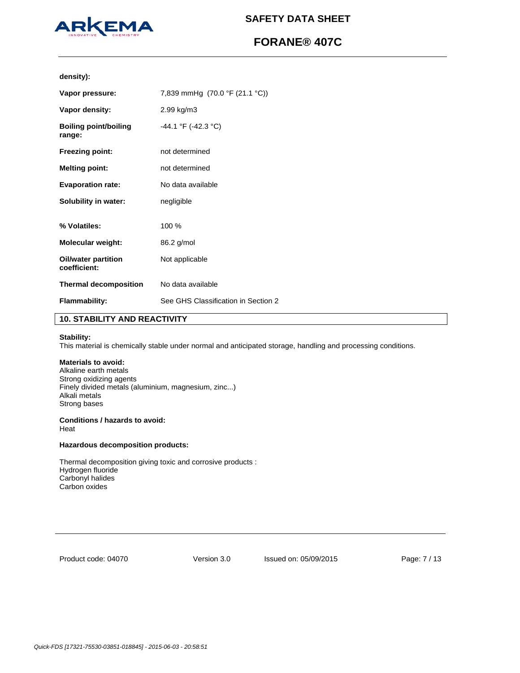

# **FORANE® 407C**

**density):**

| Vapor pressure:                            | 7,839 mmHg (70.0 °F (21.1 °C))      |
|--------------------------------------------|-------------------------------------|
| Vapor density:                             | 2.99 kg/m3                          |
| <b>Boiling point/boiling</b><br>range:     | -44.1 °F (-42.3 °C)                 |
| <b>Freezing point:</b>                     | not determined                      |
| <b>Melting point:</b>                      | not determined                      |
| <b>Evaporation rate:</b>                   | No data available                   |
| Solubility in water:                       | negligible                          |
| % Volatiles:                               | 100 %                               |
| <b>Molecular weight:</b>                   | 86.2 g/mol                          |
| <b>Oil/water partition</b><br>coefficient: | Not applicable                      |
| <b>Thermal decomposition</b>               | No data available                   |
| <b>Flammability:</b>                       | See GHS Classification in Section 2 |

# **10. STABILITY AND REACTIVITY**

### **Stability:**

This material is chemically stable under normal and anticipated storage, handling and processing conditions.

# **Materials to avoid:**

Alkaline earth metals Strong oxidizing agents Finely divided metals (aluminium, magnesium, zinc...) Alkali metals Strong bases

# **Conditions / hazards to avoid:**

Heat

### **Hazardous decomposition products:**

Thermal decomposition giving toxic and corrosive products : Hydrogen fluoride Carbonyl halides Carbon oxides

Product code: 04070

Version 3.0 Issued on: 05/09/2015 Page: 7 / 13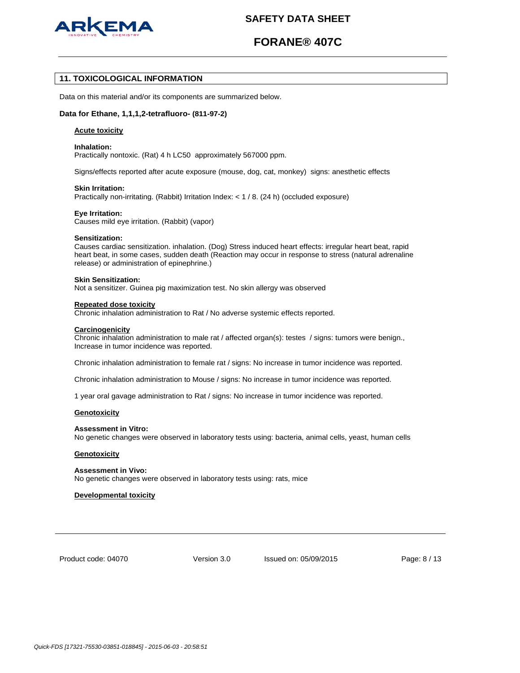

# **FORANE® 407C**

# **11. TOXICOLOGICAL INFORMATION**

Data on this material and/or its components are summarized below.

#### **Data for Ethane, 1,1,1,2-tetrafluoro- (811-97-2)**

#### **Acute toxicity**

#### **Inhalation:**

Practically nontoxic. (Rat) 4 h LC50 approximately 567000 ppm.

Signs/effects reported after acute exposure (mouse, dog, cat, monkey) signs: anesthetic effects

#### **Skin Irritation:**

Practically non-irritating. (Rabbit) Irritation Index: < 1 / 8. (24 h) (occluded exposure)

#### **Eye Irritation:**

Causes mild eye irritation. (Rabbit) (vapor)

#### **Sensitization:**

Causes cardiac sensitization. inhalation. (Dog) Stress induced heart effects: irregular heart beat, rapid heart beat, in some cases, sudden death (Reaction may occur in response to stress (natural adrenaline release) or administration of epinephrine.)

#### **Skin Sensitization:**

Not a sensitizer. Guinea pig maximization test. No skin allergy was observed

#### **Repeated dose toxicity**

Chronic inhalation administration to Rat / No adverse systemic effects reported.

#### **Carcinogenicity**

Chronic inhalation administration to male rat / affected organ(s): testes / signs: tumors were benign., Increase in tumor incidence was reported.

Chronic inhalation administration to female rat / signs: No increase in tumor incidence was reported.

Chronic inhalation administration to Mouse / signs: No increase in tumor incidence was reported.

1 year oral gavage administration to Rat / signs: No increase in tumor incidence was reported.

#### **Genotoxicity**

#### **Assessment in Vitro:**

No genetic changes were observed in laboratory tests using: bacteria, animal cells, yeast, human cells

#### **Genotoxicity**

#### **Assessment in Vivo:**

No genetic changes were observed in laboratory tests using: rats, mice

#### **Developmental toxicity**

Product code: 04070

Version 3.0 Issued on: 05/09/2015 Page: 8 / 13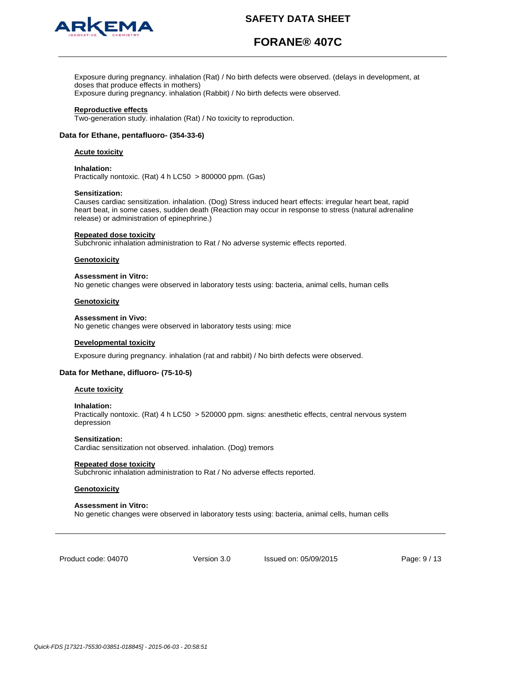

# **FORANE® 407C**

Exposure during pregnancy. inhalation (Rat) / No birth defects were observed. (delays in development, at doses that produce effects in mothers) Exposure during pregnancy. inhalation (Rabbit) / No birth defects were observed.

**Reproductive effects**

Two-generation study. inhalation (Rat) / No toxicity to reproduction.

### **Data for Ethane, pentafluoro- (354-33-6)**

#### **Acute toxicity**

#### **Inhalation:**

Practically nontoxic. (Rat) 4 h LC50 > 800000 ppm. (Gas)

#### **Sensitization:**

Causes cardiac sensitization. inhalation. (Dog) Stress induced heart effects: irregular heart beat, rapid heart beat, in some cases, sudden death (Reaction may occur in response to stress (natural adrenaline release) or administration of epinephrine.)

#### **Repeated dose toxicity**

Subchronic inhalation administration to Rat / No adverse systemic effects reported.

#### **Genotoxicity**

#### **Assessment in Vitro:**

No genetic changes were observed in laboratory tests using: bacteria, animal cells, human cells

#### **Genotoxicity**

#### **Assessment in Vivo:**

No genetic changes were observed in laboratory tests using: mice

#### **Developmental toxicity**

Exposure during pregnancy. inhalation (rat and rabbit) / No birth defects were observed.

### **Data for Methane, difluoro- (75-10-5)**

#### **Acute toxicity**

#### **Inhalation:**

Practically nontoxic. (Rat) 4 h LC50 > 520000 ppm. signs: anesthetic effects, central nervous system depression

#### **Sensitization:**

Cardiac sensitization not observed. inhalation. (Dog) tremors

#### **Repeated dose toxicity**

Subchronic inhalation administration to Rat / No adverse effects reported.

### **Genotoxicity**

#### **Assessment in Vitro:**

No genetic changes were observed in laboratory tests using: bacteria, animal cells, human cells

Product code: 04070

Version 3.0 Issued on: 05/09/2015 Page: 9 / 13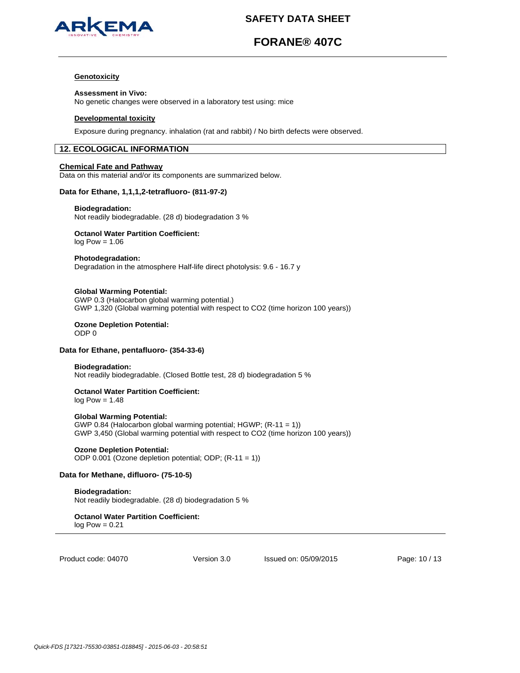

# **FORANE® 407C**

#### **Genotoxicity**

#### **Assessment in Vivo:**

No genetic changes were observed in a laboratory test using: mice

#### **Developmental toxicity**

Exposure during pregnancy. inhalation (rat and rabbit) / No birth defects were observed.

# **12. ECOLOGICAL INFORMATION**

#### **Chemical Fate and Pathway**

Data on this material and/or its components are summarized below.

### **Data for Ethane, 1,1,1,2-tetrafluoro- (811-97-2)**

#### **Biodegradation:**

Not readily biodegradable. (28 d) biodegradation 3 %

# **Octanol Water Partition Coefficient:**

 $log Pow = 1.06$ 

#### **Photodegradation:**

Degradation in the atmosphere Half-life direct photolysis: 9.6 - 16.7 y

#### **Global Warming Potential:**

GWP 0.3 (Halocarbon global warming potential.) GWP 1,320 (Global warming potential with respect to CO2 (time horizon 100 years))

#### **Ozone Depletion Potential:**  ODP 0

### **Data for Ethane, pentafluoro- (354-33-6)**

# **Biodegradation:**

Not readily biodegradable. (Closed Bottle test, 28 d) biodegradation 5 %

# **Octanol Water Partition Coefficient:**

 $log Pow = 1.48$ 

### **Global Warming Potential:**

GWP 0.84 (Halocarbon global warming potential; HGWP; (R-11 = 1)) GWP 3,450 (Global warming potential with respect to CO2 (time horizon 100 years))

#### **Ozone Depletion Potential:**  ODP 0.001 (Ozone depletion potential; ODP; (R-11 = 1))

# **Data for Methane, difluoro- (75-10-5)**

**Biodegradation:** Not readily biodegradable. (28 d) biodegradation 5 %

**Octanol Water Partition Coefficient:**   $log Pow = 0.21$ 

Product code: 04070

Version 3.0 Issued on: 05/09/2015 Page: 10 / 13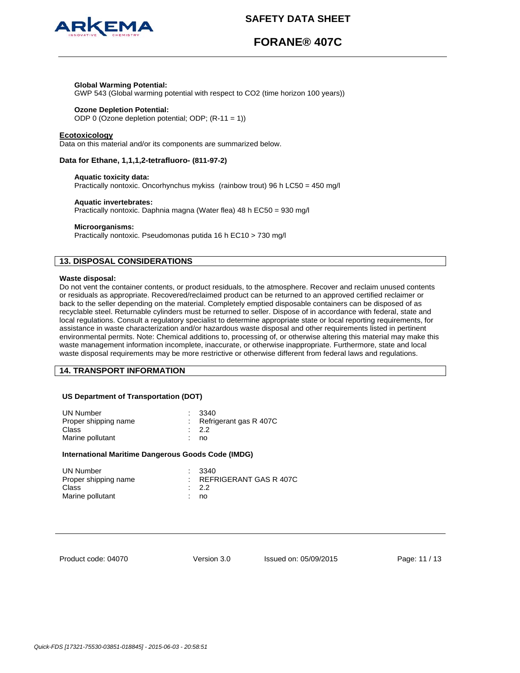

# **FORANE® 407C**

## **Global Warming Potential:**

GWP 543 (Global warming potential with respect to CO2 (time horizon 100 years))

### **Ozone Depletion Potential:**

ODP 0 (Ozone depletion potential; ODP; (R-11 = 1))

#### **Ecotoxicology**

Data on this material and/or its components are summarized below.

#### **Data for Ethane, 1,1,1,2-tetrafluoro- (811-97-2)**

### **Aquatic toxicity data:**

Practically nontoxic. Oncorhynchus mykiss (rainbow trout) 96 h LC50 = 450 mg/l

#### **Aquatic invertebrates:**

Practically nontoxic. Daphnia magna (Water flea) 48 h EC50 = 930 mg/l

#### **Microorganisms:**

Practically nontoxic. Pseudomonas putida 16 h EC10 > 730 mg/l

## **13. DISPOSAL CONSIDERATIONS**

#### **Waste disposal:**

Do not vent the container contents, or product residuals, to the atmosphere. Recover and reclaim unused contents or residuals as appropriate. Recovered/reclaimed product can be returned to an approved certified reclaimer or back to the seller depending on the material. Completely emptied disposable containers can be disposed of as recyclable steel. Returnable cylinders must be returned to seller. Dispose of in accordance with federal, state and local regulations. Consult a regulatory specialist to determine appropriate state or local reporting requirements, for assistance in waste characterization and/or hazardous waste disposal and other requirements listed in pertinent environmental permits. Note: Chemical additions to, processing of, or otherwise altering this material may make this waste management information incomplete, inaccurate, or otherwise inappropriate. Furthermore, state and local waste disposal requirements may be more restrictive or otherwise different from federal laws and regulations.

## **14. TRANSPORT INFORMATION**

#### **US Department of Transportation (DOT)**

| UN Number<br>Proper shipping name<br>Class<br>Marine pollutant |  | 3340<br>: Refrigerant gas $R$ 407C<br>$\therefore$ 2.2<br>no |
|----------------------------------------------------------------|--|--------------------------------------------------------------|
|----------------------------------------------------------------|--|--------------------------------------------------------------|

#### **International Maritime Dangerous Goods Code (IMDG)**

| UN Number            | $\therefore$ 3340        |
|----------------------|--------------------------|
| Proper shipping name | : REFRIGERANT GAS R 407C |
| Class                | $\therefore$ 2.2         |
| Marine pollutant     | : no                     |

Product code: 04070

Version 3.0 Issued on: 05/09/2015 Page: 11 / 13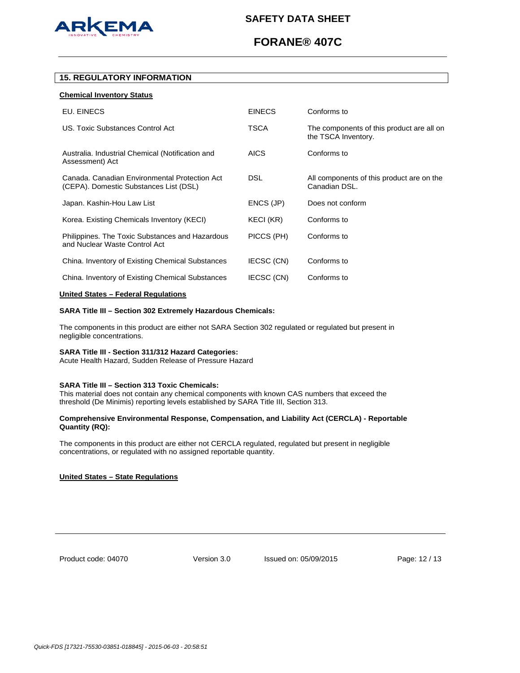

# **FORANE® 407C**

# **15. REGULATORY INFORMATION**

### **Chemical Inventory Status**

| EU. EINECS                                                                              | <b>EINECS</b> | Conforms to                                                      |
|-----------------------------------------------------------------------------------------|---------------|------------------------------------------------------------------|
| US. Toxic Substances Control Act                                                        | TSCA          | The components of this product are all on<br>the TSCA Inventory. |
| Australia. Industrial Chemical (Notification and<br>Assessment) Act                     | <b>AICS</b>   | Conforms to                                                      |
| Canada, Canadian Environmental Protection Act<br>(CEPA). Domestic Substances List (DSL) | <b>DSL</b>    | All components of this product are on the<br>Canadian DSL.       |
| Japan. Kashin-Hou Law List                                                              | ENCS (JP)     | Does not conform                                                 |
| Korea. Existing Chemicals Inventory (KECI)                                              | KECI (KR)     | Conforms to                                                      |
| Philippines. The Toxic Substances and Hazardous<br>and Nuclear Waste Control Act        | PICCS (PH)    | Conforms to                                                      |
| China. Inventory of Existing Chemical Substances                                        | IECSC (CN)    | Conforms to                                                      |
| China. Inventory of Existing Chemical Substances                                        | IECSC (CN)    | Conforms to                                                      |

### **United States – Federal Regulations**

#### **SARA Title III – Section 302 Extremely Hazardous Chemicals:**

The components in this product are either not SARA Section 302 regulated or regulated but present in negligible concentrations.

#### **SARA Title III - Section 311/312 Hazard Categories:**

Acute Health Hazard, Sudden Release of Pressure Hazard

#### **SARA Title III – Section 313 Toxic Chemicals:**

This material does not contain any chemical components with known CAS numbers that exceed the threshold (De Minimis) reporting levels established by SARA Title III, Section 313.

#### **Comprehensive Environmental Response, Compensation, and Liability Act (CERCLA) - Reportable Quantity (RQ):**

The components in this product are either not CERCLA regulated, regulated but present in negligible concentrations, or regulated with no assigned reportable quantity.

## **United States – State Regulations**

Product code: 04070

Version 3.0 Issued on: 05/09/2015 Page: 12 / 13